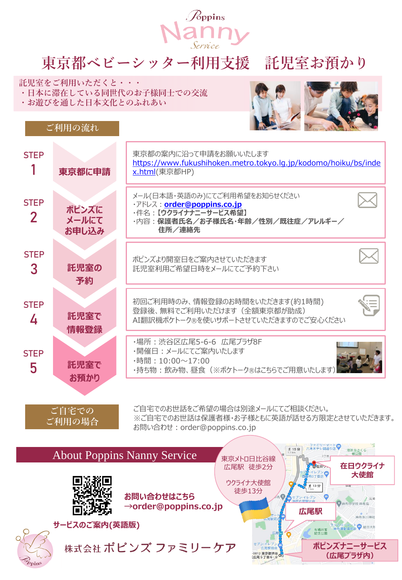

## **東京都ベビーシッター利用支援 託児室お預かり**

**託児室をご利用いただくと・・・ ・日本に滞在している同世代のお子様同士での交流**

**・お遊びを通した日本文化とのふれあい**

**ご利用の流れ**



**広尾駅**

有栖川宮<br>知合ハ国

ンイレフン

**ポピンズナニーサービス (広尾プラザ内)**

麻布中学校 麻布高

麻布氷川神社 』リ<del>/マート●</del><br>5運動場前店● 駐日大韓



**お問い合わせはこちら**

株式会社 ポピンズ ファミリーケア

**サービスのご案内(英語版)**

**→order@poppins.co.jp**